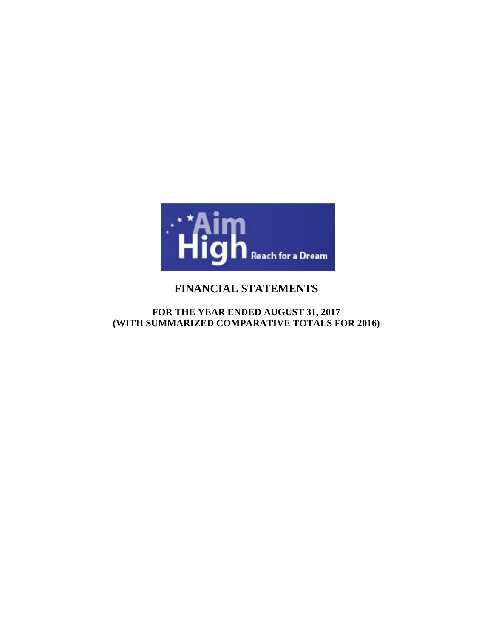

# **FINANCIAL STATEMENTS**

# **FOR THE YEAR ENDED AUGUST 31, 2017 (WITH SUMMARIZED COMPARATIVE TOTALS FOR 2016)**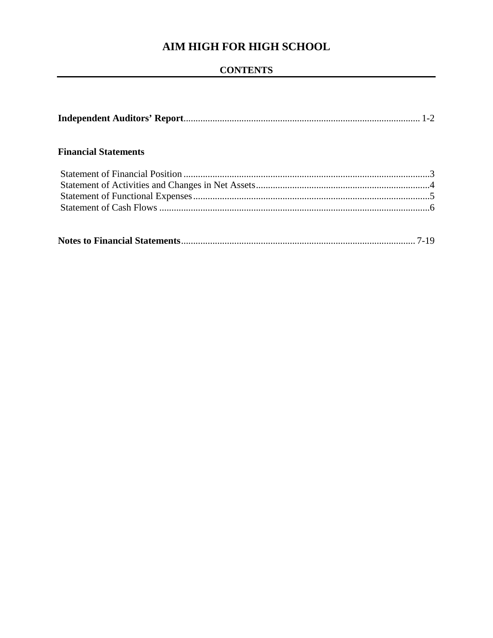# **CONTENTS**

| <b>Financial Statements</b> |  |
|-----------------------------|--|
|                             |  |
|                             |  |
|                             |  |
|                             |  |
|                             |  |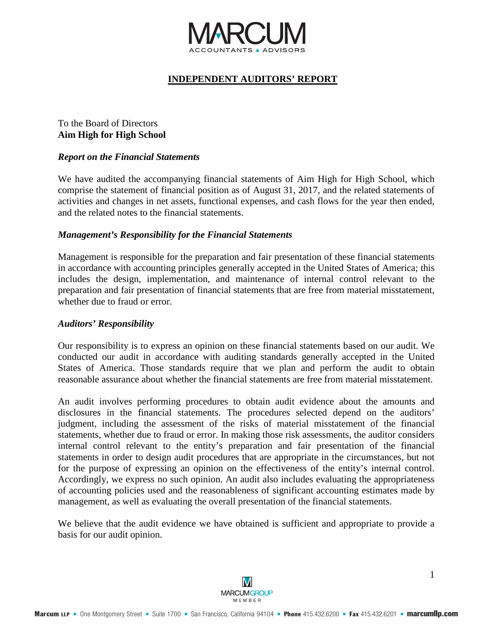

# **INDEPENDENT AUDITORS' REPORT**

### To the Board of Directors **Aim High for High School**

#### *Report on the Financial Statements*

We have audited the accompanying financial statements of Aim High for High School, which comprise the statement of financial position as of August 31, 2017, and the related statements of activities and changes in net assets, functional expenses, and cash flows for the year then ended, and the related notes to the financial statements.

#### *Management's Responsibility for the Financial Statements*

Management is responsible for the preparation and fair presentation of these financial statements in accordance with accounting principles generally accepted in the United States of America; this includes the design, implementation, and maintenance of internal control relevant to the preparation and fair presentation of financial statements that are free from material misstatement, whether due to fraud or error.

#### *Auditors' Responsibility*

Our responsibility is to express an opinion on these financial statements based on our audit. We conducted our audit in accordance with auditing standards generally accepted in the United States of America. Those standards require that we plan and perform the audit to obtain reasonable assurance about whether the financial statements are free from material misstatement.

An audit involves performing procedures to obtain audit evidence about the amounts and disclosures in the financial statements. The procedures selected depend on the auditors' judgment, including the assessment of the risks of material misstatement of the financial statements, whether due to fraud or error. In making those risk assessments, the auditor considers internal control relevant to the entity's preparation and fair presentation of the financial statements in order to design audit procedures that are appropriate in the circumstances, but not for the purpose of expressing an opinion on the effectiveness of the entity's internal control. Accordingly, we express no such opinion. An audit also includes evaluating the appropriateness of accounting policies used and the reasonableness of significant accounting estimates made by management, as well as evaluating the overall presentation of the financial statements.

We believe that the audit evidence we have obtained is sufficient and appropriate to provide a basis for our audit opinion.

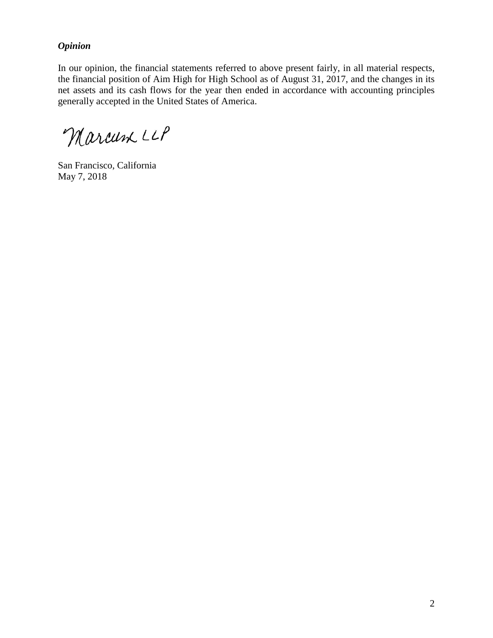# *Opinion*

In our opinion, the financial statements referred to above present fairly, in all material respects, the financial position of Aim High for High School as of August 31, 2017, and the changes in its net assets and its cash flows for the year then ended in accordance with accounting principles generally accepted in the United States of America.

Marcum LLP

San Francisco, California May 7, 2018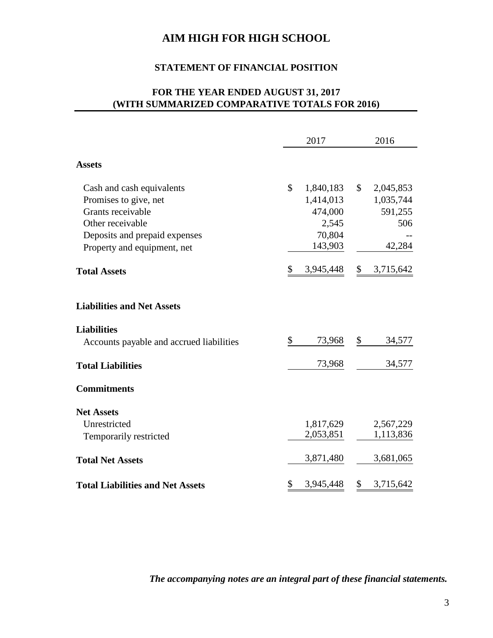### **STATEMENT OF FINANCIAL POSITION**

# **FOR THE YEAR ENDED AUGUST 31, 2017 (WITH SUMMARIZED COMPARATIVE TOTALS FOR 2016)**

|                                                                         | 2017                                  |                | 2016                     |
|-------------------------------------------------------------------------|---------------------------------------|----------------|--------------------------|
| <b>Assets</b>                                                           |                                       |                |                          |
| Cash and cash equivalents<br>Promises to give, net<br>Grants receivable | \$<br>1,840,183<br>1,414,013          | $\mathbb{S}^-$ | 2,045,853<br>1,035,744   |
| Other receivable<br>Deposits and prepaid expenses                       | 474,000<br>2,545<br>70,804<br>143,903 |                | 591,255<br>506<br>42,284 |
| Property and equipment, net<br><b>Total Assets</b>                      | \$<br>3,945,448                       | $\mathcal{S}$  | 3,715,642                |
| <b>Liabilities and Net Assets</b>                                       |                                       |                |                          |
| <b>Liabilities</b><br>Accounts payable and accrued liabilities          | \$<br>73,968                          | \$             | 34,577                   |
| <b>Total Liabilities</b>                                                | 73,968                                |                | 34,577                   |
| <b>Commitments</b>                                                      |                                       |                |                          |
| <b>Net Assets</b><br>Unrestricted<br>Temporarily restricted             | 1,817,629<br>2,053,851                |                | 2,567,229<br>1,113,836   |
| <b>Total Net Assets</b>                                                 | 3,871,480                             |                | 3,681,065                |
| <b>Total Liabilities and Net Assets</b>                                 | \$<br>3,945,448                       | \$             | 3,715,642                |

*The accompanying notes are an integral part of these financial statements.*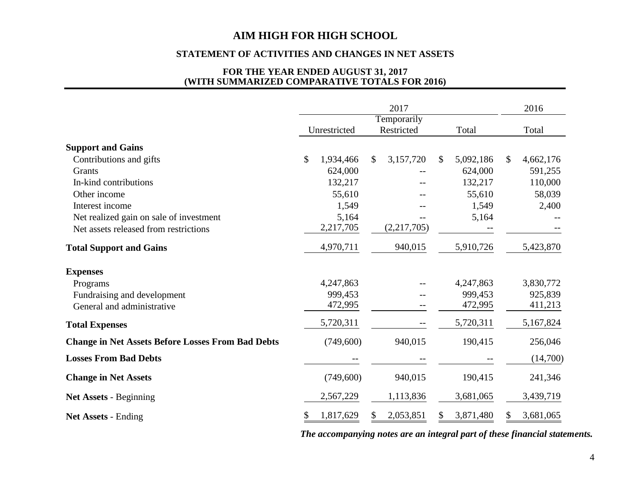### **STATEMENT OF ACTIVITIES AND CHANGES IN NET ASSETS**

#### **FOR THE YEAR ENDED AUGUST 31, 2017 (WITH SUMMARIZED COMPARATIVE TOTALS FOR 2016)**

|                                                          | 2017 |                                           |                      |             |              |           | 2016         |           |
|----------------------------------------------------------|------|-------------------------------------------|----------------------|-------------|--------------|-----------|--------------|-----------|
|                                                          |      | Temporarily<br>Restricted<br>Unrestricted |                      |             | Total        |           |              | Total     |
| <b>Support and Gains</b>                                 |      |                                           |                      |             |              |           |              |           |
| Contributions and gifts                                  | \$   | 1,934,466                                 | $\mathbb{S}$         | 3,157,720   | $\mathbb{S}$ | 5,092,186 | $\mathbb{S}$ | 4,662,176 |
| Grants                                                   |      | 624,000                                   |                      |             |              | 624,000   |              | 591,255   |
| In-kind contributions                                    |      | 132,217                                   |                      |             |              | 132,217   |              | 110,000   |
| Other income                                             |      | 55,610                                    |                      |             |              | 55,610    |              | 58,039    |
| Interest income                                          |      | 1,549                                     |                      |             |              | 1,549     |              | 2,400     |
| Net realized gain on sale of investment                  |      | 5,164                                     |                      |             |              | 5,164     |              |           |
| Net assets released from restrictions                    |      | 2,217,705                                 |                      | (2,217,705) |              |           |              |           |
| <b>Total Support and Gains</b>                           |      | 4,970,711                                 | 940,015<br>5,910,726 |             |              | 5,423,870 |              |           |
| <b>Expenses</b>                                          |      |                                           |                      |             |              |           |              |           |
| Programs                                                 |      | 4,247,863                                 |                      |             |              | 4,247,863 |              | 3,830,772 |
| Fundraising and development                              |      | 999,453                                   |                      |             |              | 999,453   |              | 925,839   |
| General and administrative                               |      | 472,995                                   |                      | --          |              | 472,995   |              | 411,213   |
| <b>Total Expenses</b>                                    |      | 5,720,311                                 |                      |             |              | 5,720,311 |              | 5,167,824 |
| <b>Change in Net Assets Before Losses From Bad Debts</b> |      | (749,600)                                 |                      | 940,015     |              | 190,415   |              | 256,046   |
| <b>Losses From Bad Debts</b>                             |      |                                           |                      |             |              |           |              | (14,700)  |
| <b>Change in Net Assets</b>                              |      | (749,600)                                 |                      | 940,015     |              | 190,415   |              | 241,346   |
| <b>Net Assets - Beginning</b>                            |      | 2,567,229                                 |                      | 1,113,836   |              | 3,681,065 |              | 3,439,719 |
| <b>Net Assets - Ending</b>                               | \$   | 1,817,629                                 | \$                   | 2,053,851   | \$           | 3,871,480 | S.           | 3,681,065 |

*The accompanying notes are an integral part of these financial statements.*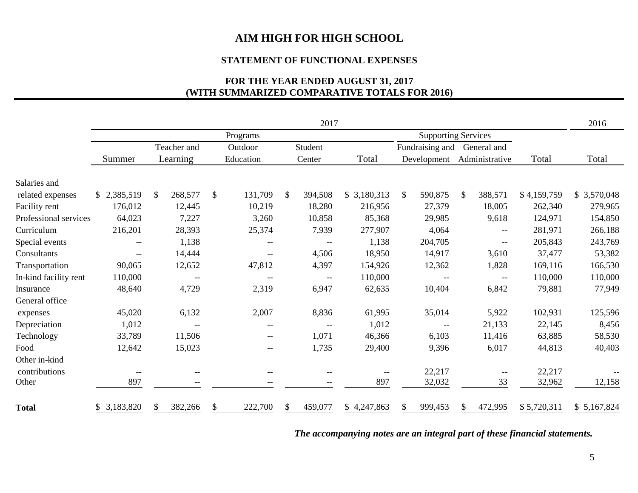### **STATEMENT OF FUNCTIONAL EXPENSES**

# Teacher and Outdoor Student Fundraising and General and Summer Learning Education Center Total Development Administrative Total Total related expenses \$ 2,385,519 \$ 268,577 \$ 131,709 \$ 394,508 \$ 3,180,313 \$ 590,875 \$ 388,571 \$ 4,159,759 \$ 3,570,048 Facility rent 176,012 12,445 10,219 18,280 216,956 27,379 18,005 262,340 279,965 Professional services 64,023 7,227 3,260 10,858 85,368 29,985 9,618 124,971 154,850 Curriculum 216,201 28,393 25,374 7,939 277,907 4,064 -- 281,971 266,188 Special events -- 1,138 -- - 1,138 -- 1,138 204,705 -- 205,843 243,769 Consultants -- 14,444 -- 4,506 18,950 14,917 3,610 37,477 53,382 Transportation 90,065 12,652 47,812 4,397 154,926 12,362 1,828 169,116 166,530 In-kind facility rent 110,000 -- - - - - - 110,000 -- - 110,000 -- 110,000 110,000 Insurance 48,640 4,729 2,319 6,947 62,635 10,404 6,842 79,881 77,949 General office expenses 45,020 6,132 2,007 8,836 61,995 35,014 5,922 102,931 125,596 Depreciation 1,012 -- - - - 1,012 - 21,133 22,145 8,456 2017 Programs Supporting Services

Technology 33,789 11,506 -- 1,071 46,366 6,103 11,416 63,885 58,530 Food 12,642 15,023 -- 1,735 29,400 9,396 6,017 44,813 40,403

contributions -- - - - - - - - 22,217 - 22,217 -Other 897 -- - - - 897 32,032 33 32,962 12,158

**Total** <u>\$ 3,183,820 \$ 382,266 \$ 222,700 \$ 459,077 \$ 4,247,863 \$ 999,453 \$ 472,995 \$ 5,720,311 \$ 5,167,824</u>

Salaries and

Other in-kind

### **FOR THE YEAR ENDED AUGUST 31, 2017 (WITH SUMMARIZED COMPARATIVE TOTALS FOR 2016)**

*The accompanying notes are an integral part of these financial statements.*

2016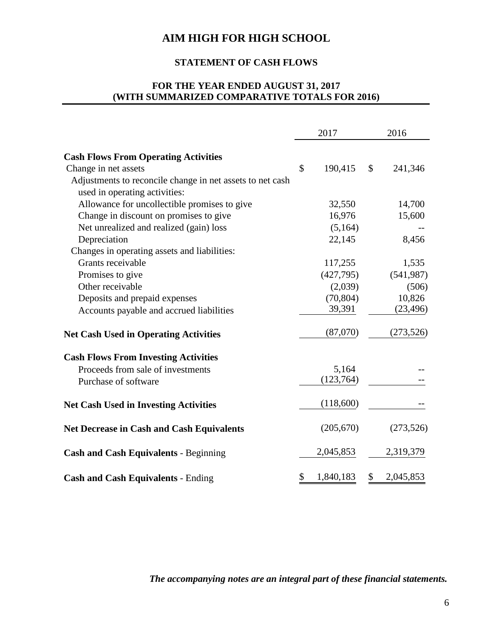### **STATEMENT OF CASH FLOWS**

# **FOR THE YEAR ENDED AUGUST 31, 2017 (WITH SUMMARIZED COMPARATIVE TOTALS FOR 2016)**

|                                                           | 2017 |            | 2016            |  |
|-----------------------------------------------------------|------|------------|-----------------|--|
|                                                           |      |            |                 |  |
| <b>Cash Flows From Operating Activities</b>               |      |            |                 |  |
| Change in net assets                                      | \$   | 190,415    | \$<br>241,346   |  |
| Adjustments to reconcile change in net assets to net cash |      |            |                 |  |
| used in operating activities:                             |      |            |                 |  |
| Allowance for uncollectible promises to give              |      | 32,550     | 14,700          |  |
| Change in discount on promises to give                    |      | 16,976     | 15,600          |  |
| Net unrealized and realized (gain) loss                   |      | (5,164)    |                 |  |
| Depreciation                                              |      | 22,145     | 8,456           |  |
| Changes in operating assets and liabilities:              |      |            |                 |  |
| Grants receivable                                         |      | 117,255    | 1,535           |  |
| Promises to give                                          |      | (427,795)  | (541, 987)      |  |
| Other receivable                                          |      | (2,039)    | (506)           |  |
| Deposits and prepaid expenses                             |      | (70, 804)  | 10,826          |  |
| Accounts payable and accrued liabilities                  |      | 39,391     | (23, 496)       |  |
| <b>Net Cash Used in Operating Activities</b>              |      | (87,070)   | (273, 526)      |  |
| <b>Cash Flows From Investing Activities</b>               |      |            |                 |  |
| Proceeds from sale of investments                         |      | 5,164      |                 |  |
| Purchase of software                                      |      | (123, 764) |                 |  |
| <b>Net Cash Used in Investing Activities</b>              |      | (118,600)  |                 |  |
| <b>Net Decrease in Cash and Cash Equivalents</b>          |      | (205, 670) | (273, 526)      |  |
| <b>Cash and Cash Equivalents - Beginning</b>              |      | 2,045,853  | 2,319,379       |  |
| <b>Cash and Cash Equivalents - Ending</b>                 | \$   | 1,840,183  | \$<br>2,045,853 |  |

*The accompanying notes are an integral part of these financial statements.*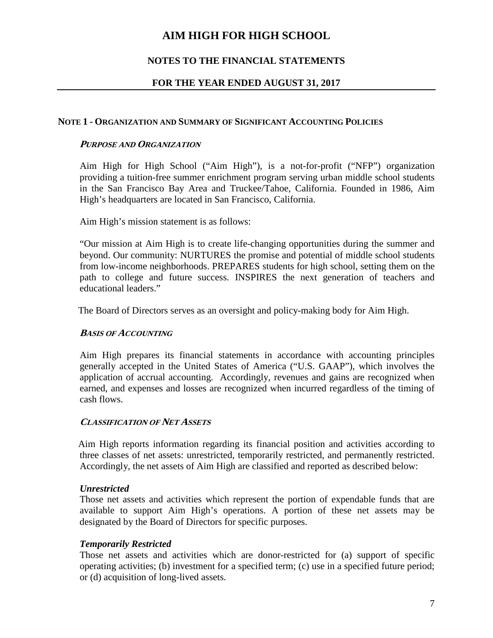## **NOTES TO THE FINANCIAL STATEMENTS**

### **FOR THE YEAR ENDED AUGUST 31, 2017**

### **NOTE 1 - ORGANIZATION AND SUMMARY OF SIGNIFICANT ACCOUNTING POLICIES**

### **PURPOSE AND ORGANIZATION**

Aim High for High School ("Aim High"), is a not-for-profit ("NFP") organization providing a tuition-free summer enrichment program serving urban middle school students in the San Francisco Bay Area and Truckee/Tahoe, California. Founded in 1986, Aim High's headquarters are located in San Francisco, California.

Aim High's mission statement is as follows:

"Our mission at Aim High is to create life-changing opportunities during the summer and beyond. Our community: NURTURES the promise and potential of middle school students from low-income neighborhoods. PREPARES students for high school, setting them on the path to college and future success. INSPIRES the next generation of teachers and educational leaders."

The Board of Directors serves as an oversight and policy-making body for Aim High.

### **BASIS OF ACCOUNTING**

Aim High prepares its financial statements in accordance with accounting principles generally accepted in the United States of America ("U.S. GAAP"), which involves the application of accrual accounting. Accordingly, revenues and gains are recognized when earned, and expenses and losses are recognized when incurred regardless of the timing of cash flows.

### **CLASSIFICATION OF NET ASSETS**

Aim High reports information regarding its financial position and activities according to three classes of net assets: unrestricted, temporarily restricted, and permanently restricted. Accordingly, the net assets of Aim High are classified and reported as described below:

### *Unrestricted*

Those net assets and activities which represent the portion of expendable funds that are available to support Aim High's operations. A portion of these net assets may be designated by the Board of Directors for specific purposes.

### *Temporarily Restricted*

Those net assets and activities which are donor-restricted for (a) support of specific operating activities; (b) investment for a specified term; (c) use in a specified future period; or (d) acquisition of long-lived assets.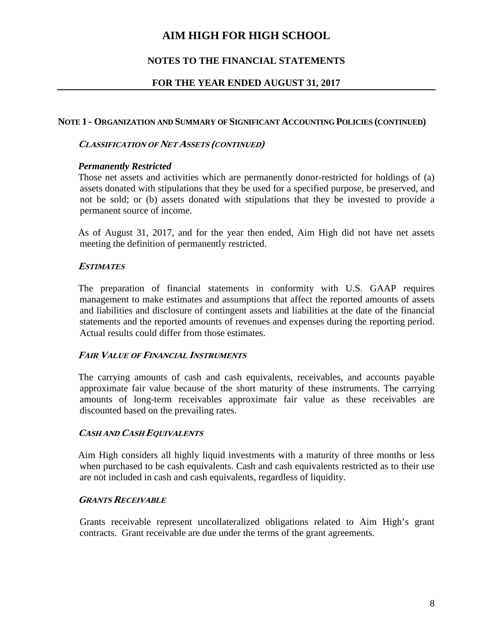# **NOTES TO THE FINANCIAL STATEMENTS**

### **FOR THE YEAR ENDED AUGUST 31, 2017**

### **NOTE 1 - ORGANIZATION AND SUMMARY OF SIGNIFICANT ACCOUNTING POLICIES (CONTINUED)**

### **CLASSIFICATION OF NET ASSETS (CONTINUED)**

### *Permanently Restricted*

Those net assets and activities which are permanently donor-restricted for holdings of (a) assets donated with stipulations that they be used for a specified purpose, be preserved, and not be sold; or (b) assets donated with stipulations that they be invested to provide a permanent source of income.

As of August 31, 2017, and for the year then ended, Aim High did not have net assets meeting the definition of permanently restricted.

### **ESTIMATES**

The preparation of financial statements in conformity with U.S. GAAP requires management to make estimates and assumptions that affect the reported amounts of assets and liabilities and disclosure of contingent assets and liabilities at the date of the financial statements and the reported amounts of revenues and expenses during the reporting period. Actual results could differ from those estimates.

### **FAIR VALUE OF FINANCIAL INSTRUMENTS**

The carrying amounts of cash and cash equivalents, receivables, and accounts payable approximate fair value because of the short maturity of these instruments. The carrying amounts of long-term receivables approximate fair value as these receivables are discounted based on the prevailing rates.

### **CASH AND CASH EQUIVALENTS**

Aim High considers all highly liquid investments with a maturity of three months or less when purchased to be cash equivalents. Cash and cash equivalents restricted as to their use are not included in cash and cash equivalents, regardless of liquidity.

### **GRANTS RECEIVABLE**

Grants receivable represent uncollateralized obligations related to Aim High's grant contracts. Grant receivable are due under the terms of the grant agreements.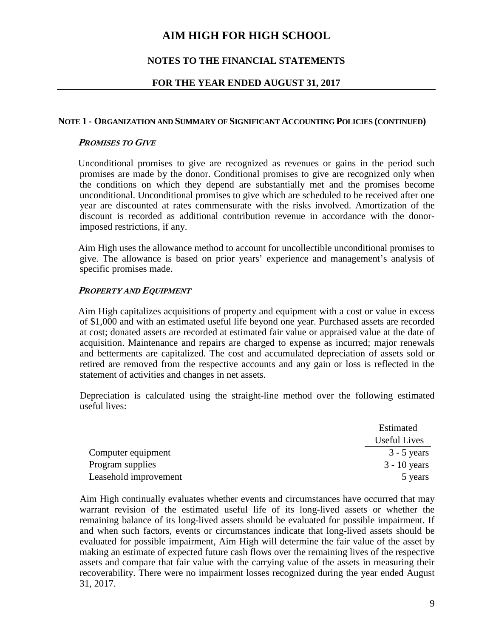### **NOTES TO THE FINANCIAL STATEMENTS**

### **FOR THE YEAR ENDED AUGUST 31, 2017**

#### **NOTE 1 - ORGANIZATION AND SUMMARY OF SIGNIFICANT ACCOUNTING POLICIES (CONTINUED)**

#### **PROMISES TO GIVE**

Unconditional promises to give are recognized as revenues or gains in the period such promises are made by the donor. Conditional promises to give are recognized only when the conditions on which they depend are substantially met and the promises become unconditional. Unconditional promises to give which are scheduled to be received after one year are discounted at rates commensurate with the risks involved. Amortization of the discount is recorded as additional contribution revenue in accordance with the donorimposed restrictions, if any.

Aim High uses the allowance method to account for uncollectible unconditional promises to give. The allowance is based on prior years' experience and management's analysis of specific promises made.

#### **PROPERTY AND EQUIPMENT**

Aim High capitalizes acquisitions of property and equipment with a cost or value in excess of \$1,000 and with an estimated useful life beyond one year. Purchased assets are recorded at cost; donated assets are recorded at estimated fair value or appraised value at the date of acquisition. Maintenance and repairs are charged to expense as incurred; major renewals and betterments are capitalized. The cost and accumulated depreciation of assets sold or retired are removed from the respective accounts and any gain or loss is reflected in the statement of activities and changes in net assets.

Depreciation is calculated using the straight-line method over the following estimated useful lives:

|                       | Estimated      |
|-----------------------|----------------|
|                       | Useful Lives   |
| Computer equipment    | $3 - 5$ years  |
| Program supplies      | $3 - 10$ years |
| Leasehold improvement | 5 years        |

Aim High continually evaluates whether events and circumstances have occurred that may warrant revision of the estimated useful life of its long-lived assets or whether the remaining balance of its long-lived assets should be evaluated for possible impairment. If and when such factors, events or circumstances indicate that long-lived assets should be evaluated for possible impairment, Aim High will determine the fair value of the asset by making an estimate of expected future cash flows over the remaining lives of the respective assets and compare that fair value with the carrying value of the assets in measuring their recoverability. There were no impairment losses recognized during the year ended August 31, 2017.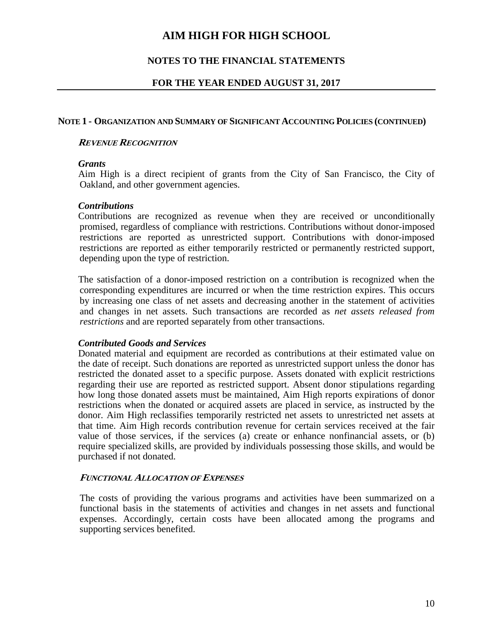### **NOTES TO THE FINANCIAL STATEMENTS**

### **FOR THE YEAR ENDED AUGUST 31, 2017**

#### **NOTE 1 - ORGANIZATION AND SUMMARY OF SIGNIFICANT ACCOUNTING POLICIES (CONTINUED)**

#### **REVENUE RECOGNITION**

#### *Grants*

Aim High is a direct recipient of grants from the City of San Francisco, the City of Oakland, and other government agencies.

#### *Contributions*

Contributions are recognized as revenue when they are received or unconditionally promised, regardless of compliance with restrictions. Contributions without donor-imposed restrictions are reported as unrestricted support. Contributions with donor-imposed restrictions are reported as either temporarily restricted or permanently restricted support, depending upon the type of restriction.

The satisfaction of a donor-imposed restriction on a contribution is recognized when the corresponding expenditures are incurred or when the time restriction expires. This occurs by increasing one class of net assets and decreasing another in the statement of activities and changes in net assets. Such transactions are recorded as *net assets released from restrictions* and are reported separately from other transactions.

### *Contributed Goods and Services*

Donated material and equipment are recorded as contributions at their estimated value on the date of receipt. Such donations are reported as unrestricted support unless the donor has restricted the donated asset to a specific purpose. Assets donated with explicit restrictions regarding their use are reported as restricted support. Absent donor stipulations regarding how long those donated assets must be maintained, Aim High reports expirations of donor restrictions when the donated or acquired assets are placed in service, as instructed by the donor. Aim High reclassifies temporarily restricted net assets to unrestricted net assets at that time. Aim High records contribution revenue for certain services received at the fair value of those services, if the services (a) create or enhance nonfinancial assets, or (b) require specialized skills, are provided by individuals possessing those skills, and would be purchased if not donated.

#### **FUNCTIONAL ALLOCATION OF EXPENSES**

The costs of providing the various programs and activities have been summarized on a functional basis in the statements of activities and changes in net assets and functional expenses. Accordingly, certain costs have been allocated among the programs and supporting services benefited.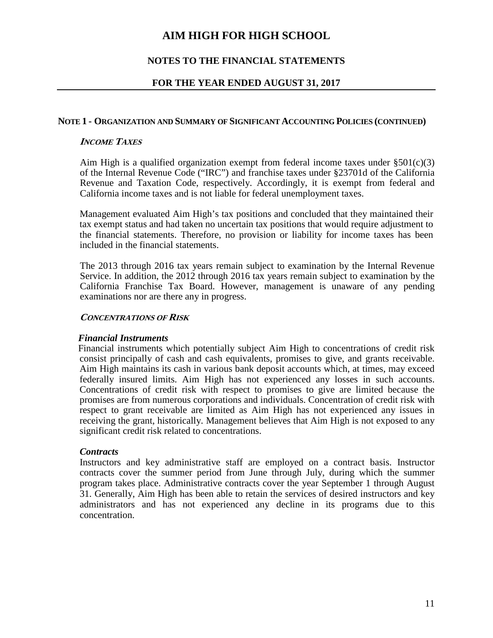### **NOTES TO THE FINANCIAL STATEMENTS**

### **FOR THE YEAR ENDED AUGUST 31, 2017**

#### **NOTE 1 - ORGANIZATION AND SUMMARY OF SIGNIFICANT ACCOUNTING POLICIES (CONTINUED)**

#### **INCOME TAXES**

Aim High is a qualified organization exempt from federal income taxes under  $\S501(c)(3)$ of the Internal Revenue Code ("IRC") and franchise taxes under §23701d of the California Revenue and Taxation Code, respectively. Accordingly, it is exempt from federal and California income taxes and is not liable for federal unemployment taxes.

Management evaluated Aim High's tax positions and concluded that they maintained their tax exempt status and had taken no uncertain tax positions that would require adjustment to the financial statements. Therefore, no provision or liability for income taxes has been included in the financial statements.

The 2013 through 2016 tax years remain subject to examination by the Internal Revenue Service. In addition, the 2012 through 2016 tax years remain subject to examination by the California Franchise Tax Board. However, management is unaware of any pending examinations nor are there any in progress.

#### **CONCENTRATIONS OF RISK**

#### *Financial Instruments*

Financial instruments which potentially subject Aim High to concentrations of credit risk consist principally of cash and cash equivalents, promises to give, and grants receivable. Aim High maintains its cash in various bank deposit accounts which, at times, may exceed federally insured limits. Aim High has not experienced any losses in such accounts. Concentrations of credit risk with respect to promises to give are limited because the promises are from numerous corporations and individuals. Concentration of credit risk with respect to grant receivable are limited as Aim High has not experienced any issues in receiving the grant, historically. Management believes that Aim High is not exposed to any significant credit risk related to concentrations.

### *Contracts*

Instructors and key administrative staff are employed on a contract basis. Instructor contracts cover the summer period from June through July, during which the summer program takes place. Administrative contracts cover the year September 1 through August 31. Generally, Aim High has been able to retain the services of desired instructors and key administrators and has not experienced any decline in its programs due to this concentration.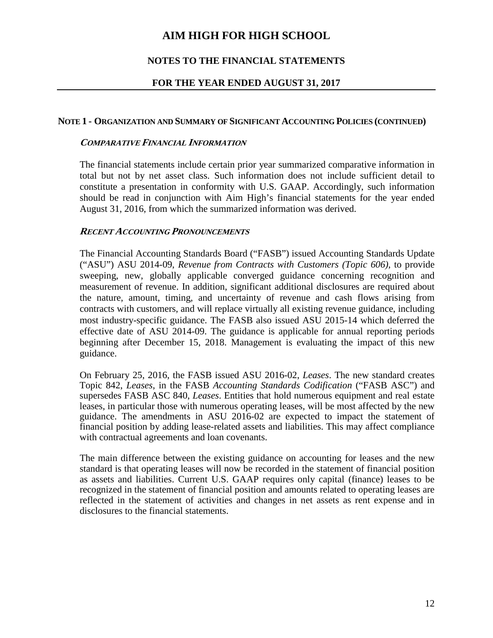### **NOTES TO THE FINANCIAL STATEMENTS**

### **FOR THE YEAR ENDED AUGUST 31, 2017**

#### **NOTE 1 - ORGANIZATION AND SUMMARY OF SIGNIFICANT ACCOUNTING POLICIES (CONTINUED)**

#### **COMPARATIVE FINANCIAL INFORMATION**

The financial statements include certain prior year summarized comparative information in total but not by net asset class. Such information does not include sufficient detail to constitute a presentation in conformity with U.S. GAAP. Accordingly, such information should be read in conjunction with Aim High's financial statements for the year ended August 31, 2016, from which the summarized information was derived.

#### **RECENT ACCOUNTING PRONOUNCEMENTS**

The Financial Accounting Standards Board ("FASB") issued [Accounting Standards Update](https://checkpoint.riag.com/app/find?begParm=y&app.version=14.06&dbName=GAAPUPD&linkType=docloc&locId=2014-09&permaId=iGAAPUPD%3A353.1&tagName=FASBUPDATE&endParm=y)  [\("ASU"\) A](https://checkpoint.riag.com/app/find?begParm=y&app.version=14.06&dbName=GAAPUPD&linkType=docloc&locId=2014-09&permaId=iGAAPUPD%3A353.1&tagName=FASBUPDATE&endParm=y)SU 2014-09, *Revenue from Contracts with Customers (Topic 606)*, to provide sweeping, new, globally applicable converged guidance concerning recognition and measurement of revenue. In addition, significant additional disclosures are required about the nature, amount, timing, and uncertainty of revenue and cash flows arising from contracts with customers, and will replace virtually all existing revenue guidance, including most industry-specific guidance. The FASB also issued ASU 2015-14 which deferred the effective date of ASU 2014-09. The guidance is applicable for annual reporting periods beginning after December 15, 2018. Management is evaluating the impact of this new guidance.

On February 25, 2016, the FASB issued ASU 2016-02, *Leases*. The new standard creates Topic 842, *Leases*, in the FASB *Accounting Standards Codification* ("FASB ASC") and supersedes FASB ASC 840, *Leases*. Entities that hold numerous equipment and real estate leases, in particular those with numerous operating leases, will be most affected by the new guidance. The amendments in ASU 2016-02 are expected to impact the statement of financial position by adding lease-related assets and liabilities. This may affect compliance with contractual agreements and loan covenants.

The main difference between the existing guidance on accounting for leases and the new standard is that operating leases will now be recorded in the statement of financial position as assets and liabilities. Current U.S. GAAP requires only capital (finance) leases to be recognized in the statement of financial position and amounts related to operating leases are reflected in the statement of activities and changes in net assets as rent expense and in disclosures to the financial statements.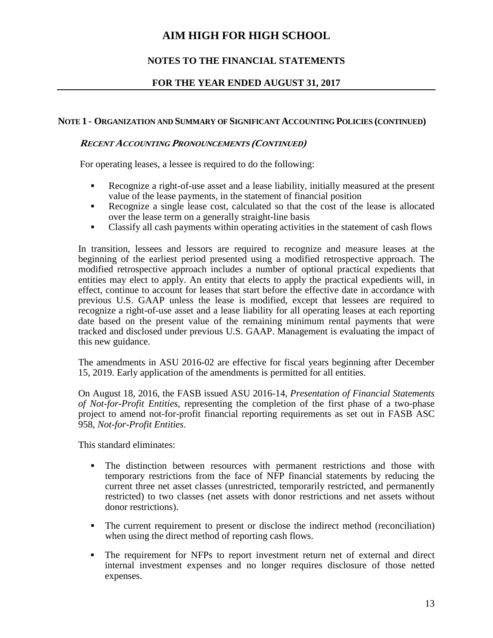# **NOTES TO THE FINANCIAL STATEMENTS**

### **FOR THE YEAR ENDED AUGUST 31, 2017**

### **NOTE 1 - ORGANIZATION AND SUMMARY OF SIGNIFICANT ACCOUNTING POLICIES (CONTINUED)**

#### **RECENT ACCOUNTING PRONOUNCEMENTS (CONTINUED)**

For operating leases, a lessee is required to do the following:

- Recognize a right-of-use asset and a lease liability, initially measured at the present value of the lease payments, in the statement of financial position
- Recognize a single lease cost, calculated so that the cost of the lease is allocated over the lease term on a generally straight-line basis
- Classify all cash payments within operating activities in the statement of cash flows

In transition, lessees and lessors are required to recognize and measure leases at the beginning of the earliest period presented using a modified retrospective approach. The modified retrospective approach includes a number of optional practical expedients that entities may elect to apply. An entity that elects to apply the practical expedients will, in effect, continue to account for leases that start before the effective date in accordance with previous U.S. GAAP unless the lease is modified, except that lessees are required to recognize a right-of-use asset and a lease liability for all operating leases at each reporting date based on the present value of the remaining minimum rental payments that were tracked and disclosed under previous U.S. GAAP. Management is evaluating the impact of this new guidance.

The amendments in ASU 2016-02 are effective for fiscal years beginning after December 15, 2019. Early application of the amendments is permitted for all entities.

On August 18, 2016, the FASB issued ASU 2016-14, *Presentation of Financial Statements of Not-for-Profit Entities*, representing the completion of the first phase of a two-phase project to amend not-for-profit financial reporting requirements as set out in FASB ASC 958, *Not-for-Profit Entities*.

This standard eliminates:

- The distinction between resources with permanent restrictions and those with temporary restrictions from the face of NFP financial statements by reducing the current three net asset classes (unrestricted, temporarily restricted, and permanently restricted) to two classes (net assets with donor restrictions and net assets without donor restrictions).
- The current requirement to present or disclose the indirect method (reconciliation) when using the direct method of reporting cash flows.
- The requirement for NFPs to report investment return net of external and direct internal investment expenses and no longer requires disclosure of those netted expenses.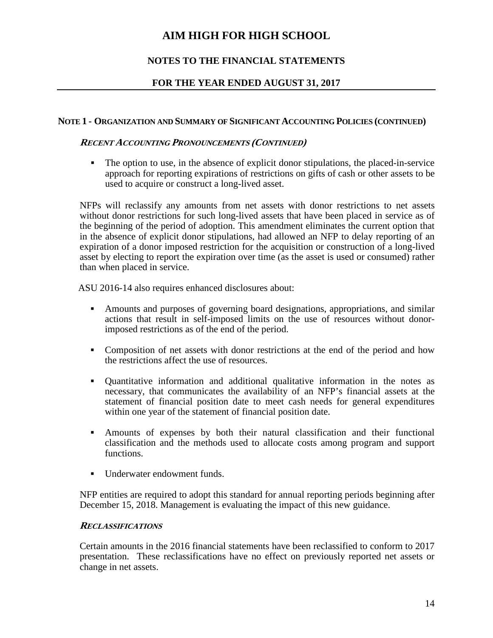# **NOTES TO THE FINANCIAL STATEMENTS**

### **FOR THE YEAR ENDED AUGUST 31, 2017**

### **NOTE 1 - ORGANIZATION AND SUMMARY OF SIGNIFICANT ACCOUNTING POLICIES (CONTINUED)**

### **RECENT ACCOUNTING PRONOUNCEMENTS (CONTINUED)**

The option to use, in the absence of explicit donor stipulations, the placed-in-service approach for reporting expirations of restrictions on gifts of cash or other assets to be used to acquire or construct a long-lived asset.

NFPs will reclassify any amounts from net assets with donor restrictions to net assets without donor restrictions for such long-lived assets that have been placed in service as of the beginning of the period of adoption. This amendment eliminates the current option that in the absence of explicit donor stipulations, had allowed an NFP to delay reporting of an expiration of a donor imposed restriction for the acquisition or construction of a long-lived asset by electing to report the expiration over time (as the asset is used or consumed) rather than when placed in service.

ASU 2016-14 also requires enhanced disclosures about:

- Amounts and purposes of governing board designations, appropriations, and similar actions that result in self-imposed limits on the use of resources without donorimposed restrictions as of the end of the period.
- Composition of net assets with donor restrictions at the end of the period and how the restrictions affect the use of resources.
- Quantitative information and additional qualitative information in the notes as necessary, that communicates the availability of an NFP's financial assets at the statement of financial position date to meet cash needs for general expenditures within one year of the statement of financial position date.
- Amounts of expenses by both their natural classification and their functional classification and the methods used to allocate costs among program and support functions.
- Underwater endowment funds.

NFP entities are required to adopt this standard for annual reporting periods beginning after December 15, 2018. Management is evaluating the impact of this new guidance.

### **RECLASSIFICATIONS**

Certain amounts in the 2016 financial statements have been reclassified to conform to 2017 presentation. These reclassifications have no effect on previously reported net assets or change in net assets.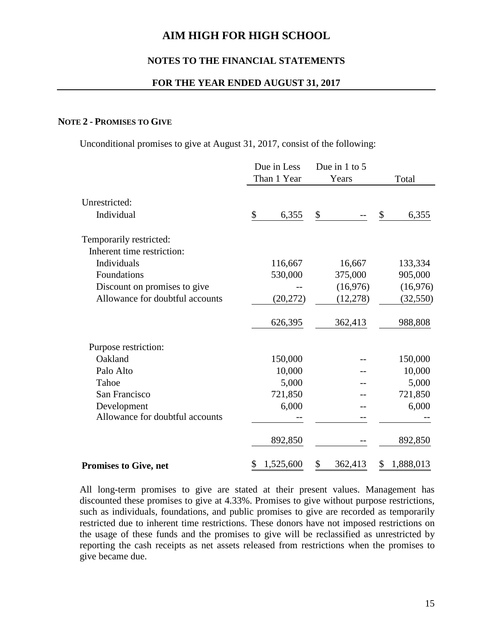### **NOTES TO THE FINANCIAL STATEMENTS**

#### **FOR THE YEAR ENDED AUGUST 31, 2017**

### **NOTE 2 - PROMISES TO GIVE**

Unconditional promises to give at August 31, 2017, consist of the following:

|                                 | Due in Less     |    | Due in 1 to 5 |    |           |  |  |
|---------------------------------|-----------------|----|---------------|----|-----------|--|--|
|                                 | Than 1 Year     |    | Years         |    | Total     |  |  |
| Unrestricted:                   |                 |    |               |    |           |  |  |
| Individual                      | \$<br>6,355     | \$ |               | \$ | 6,355     |  |  |
| Temporarily restricted:         |                 |    |               |    |           |  |  |
| Inherent time restriction:      |                 |    |               |    |           |  |  |
| Individuals                     | 116,667         |    | 16,667        |    | 133,334   |  |  |
| Foundations                     | 530,000         |    | 375,000       |    | 905,000   |  |  |
| Discount on promises to give    |                 |    | (16,976)      |    | (16,976)  |  |  |
| Allowance for doubtful accounts | (20, 272)       |    | (12,278)      |    | (32, 550) |  |  |
|                                 | 626,395         |    | 362,413       |    | 988,808   |  |  |
| Purpose restriction:            |                 |    |               |    |           |  |  |
| Oakland                         | 150,000         |    |               |    | 150,000   |  |  |
| Palo Alto                       | 10,000          |    |               |    | 10,000    |  |  |
| Tahoe                           | 5,000           |    |               |    | 5,000     |  |  |
| San Francisco                   | 721,850         |    |               |    | 721,850   |  |  |
| Development                     | 6,000           |    |               |    | 6,000     |  |  |
| Allowance for doubtful accounts |                 |    |               |    |           |  |  |
|                                 | 892,850         |    |               |    | 892,850   |  |  |
| <b>Promises to Give, net</b>    | \$<br>1,525,600 | \$ | 362,413       | \$ | 1,888,013 |  |  |

All long-term promises to give are stated at their present values. Management has discounted these promises to give at 4.33%. Promises to give without purpose restrictions, such as individuals, foundations, and public promises to give are recorded as temporarily restricted due to inherent time restrictions. These donors have not imposed restrictions on the usage of these funds and the promises to give will be reclassified as unrestricted by reporting the cash receipts as net assets released from restrictions when the promises to give became due.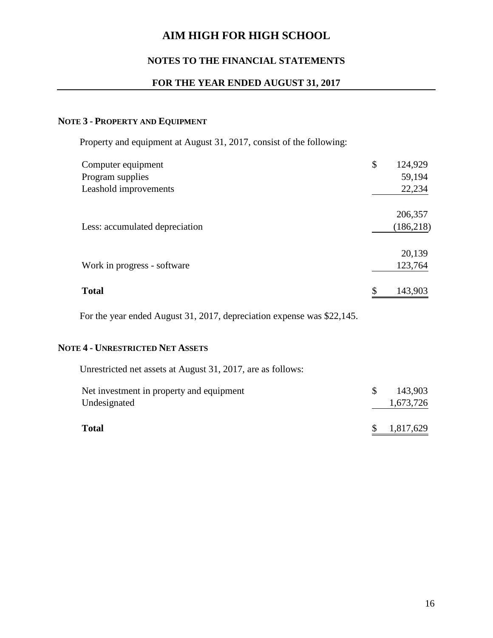# **NOTES TO THE FINANCIAL STATEMENTS**

### **FOR THE YEAR ENDED AUGUST 31, 2017**

# **NOTE 3 - PROPERTY AND EQUIPMENT**

Property and equipment at August 31, 2017, consist of the following:

| Computer equipment             | \$<br>124,929 |
|--------------------------------|---------------|
| Program supplies               | 59,194        |
| Leashold improvements          | 22,234        |
|                                | 206,357       |
| Less: accumulated depreciation | (186, 218)    |
|                                | 20,139        |
| Work in progress - software    | 123,764       |
| <b>Total</b>                   | \$<br>143,903 |

For the year ended August 31, 2017, depreciation expense was \$22,145.

# **NOTE 4 - UNRESTRICTED NET ASSETS**

Unrestricted net assets at August 31, 2017, are as follows:

| Net investment in property and equipment<br>Undesignated | 143,903<br>1,673,726 |
|----------------------------------------------------------|----------------------|
| <b>Total</b>                                             | \$1,817,629          |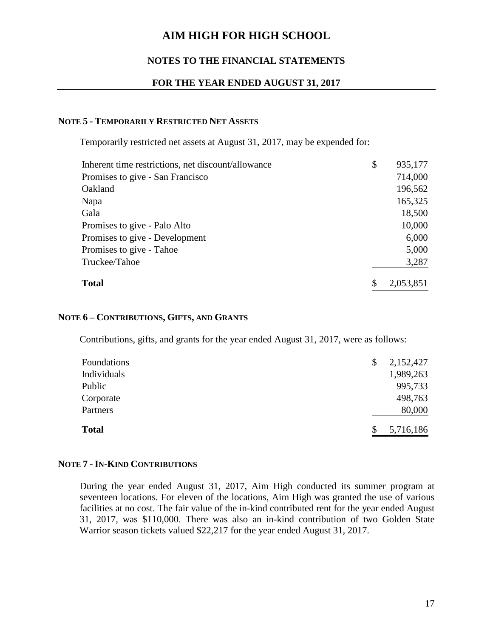### **NOTES TO THE FINANCIAL STATEMENTS**

### **FOR THE YEAR ENDED AUGUST 31, 2017**

### **NOTE 5 - TEMPORARILY RESTRICTED NET ASSETS**

Temporarily restricted net assets at August 31, 2017, may be expended for:

| Inherent time restrictions, net discount/allowance | \$<br>935,177 |
|----------------------------------------------------|---------------|
| Promises to give - San Francisco                   | 714,000       |
| Oakland                                            | 196,562       |
| Napa                                               | 165,325       |
| Gala                                               | 18,500        |
| Promises to give - Palo Alto                       | 10,000        |
| Promises to give - Development                     | 6,000         |
| Promises to give - Tahoe                           | 5,000         |
| Truckee/Tahoe                                      | 3,287         |
| <b>Total</b>                                       | 2,053,851     |

#### **NOTE 6 – CONTRIBUTIONS, GIFTS, AND GRANTS**

Contributions, gifts, and grants for the year ended August 31, 2017, were as follows:

| <b>Total</b> | 5,716,186 |
|--------------|-----------|
| Partners     | 80,000    |
| Corporate    | 498,763   |
| Public       | 995,733   |
| Individuals  | 1,989,263 |
| Foundations  | 2,152,427 |
|              |           |

#### **NOTE 7 - IN-KIND CONTRIBUTIONS**

During the year ended August 31, 2017, Aim High conducted its summer program at seventeen locations. For eleven of the locations, Aim High was granted the use of various facilities at no cost. The fair value of the in-kind contributed rent for the year ended August 31, 2017, was \$110,000. There was also an in-kind contribution of two Golden State Warrior season tickets valued \$22,217 for the year ended August 31, 2017.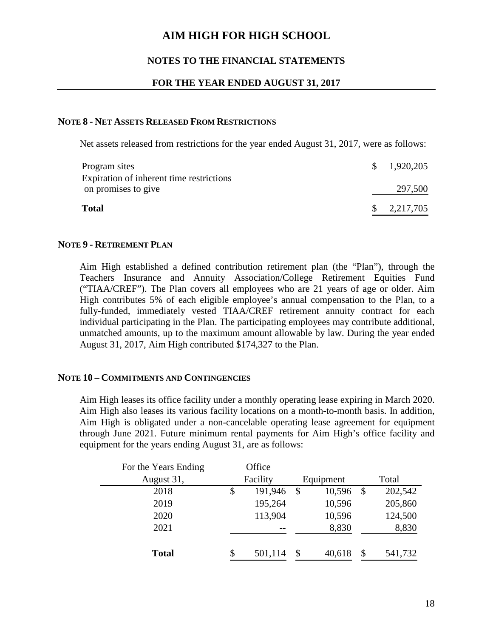### **NOTES TO THE FINANCIAL STATEMENTS**

### **FOR THE YEAR ENDED AUGUST 31, 2017**

#### **NOTE 8 - NET ASSETS RELEASED FROM RESTRICTIONS**

Net assets released from restrictions for the year ended August 31, 2017, were as follows:

| Total                                                           | $\frac{\$}{2,217,705}$ |
|-----------------------------------------------------------------|------------------------|
| Expiration of inherent time restrictions<br>on promises to give | 297,500                |
| Program sites                                                   | $\frac{\$}{1.920,205}$ |

#### **NOTE 9 - RETIREMENT PLAN**

Aim High established a defined contribution retirement plan (the "Plan"), through the Teachers Insurance and Annuity Association/College Retirement Equities Fund ("TIAA/CREF"). The Plan covers all employees who are 21 years of age or older. Aim High contributes 5% of each eligible employee's annual compensation to the Plan, to a fully-funded, immediately vested TIAA/CREF retirement annuity contract for each individual participating in the Plan. The participating employees may contribute additional, unmatched amounts, up to the maximum amount allowable by law. During the year ended August 31, 2017, Aim High contributed \$174,327 to the Plan.

#### **NOTE 10 – COMMITMENTS AND CONTINGENCIES**

Aim High leases its office facility under a monthly operating lease expiring in March 2020. Aim High also leases its various facility locations on a month-to-month basis. In addition, Aim High is obligated under a non-cancelable operating lease agreement for equipment through June 2021. Future minimum rental payments for Aim High's office facility and equipment for the years ending August 31, are as follows:

| For the Years Ending | Office        |               |           |               |
|----------------------|---------------|---------------|-----------|---------------|
| August 31,           | Facility      |               | Equipment | Total         |
| 2018                 | \$<br>191,946 | \$            | 10,596    | \$<br>202,542 |
| 2019                 | 195,264       |               | 10,596    | 205,860       |
| 2020                 | 113,904       |               | 10,596    | 124,500       |
| 2021                 |               |               | 8,830     | 8,830         |
| <b>Total</b>         | 501,114       | $\mathcal{S}$ | 40,618    | \$<br>541,732 |